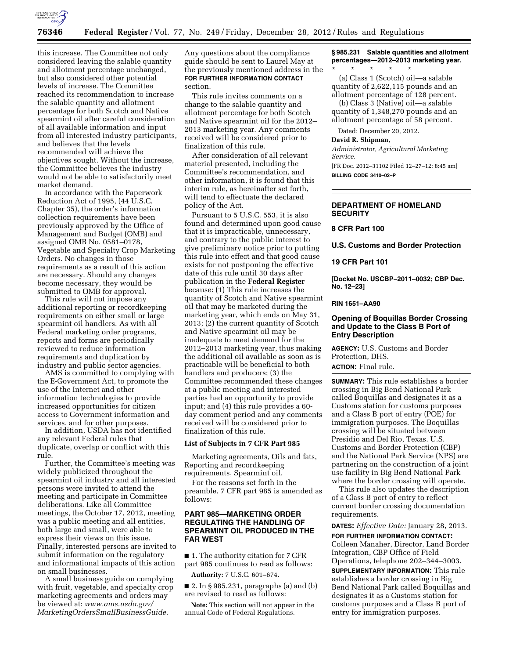

this increase. The Committee not only considered leaving the salable quantity and allotment percentage unchanged, but also considered other potential levels of increase. The Committee reached its recommendation to increase the salable quantity and allotment percentage for both Scotch and Native spearmint oil after careful consideration of all available information and input from all interested industry participants, and believes that the levels recommended will achieve the objectives sought. Without the increase, the Committee believes the industry would not be able to satisfactorily meet market demand.

In accordance with the Paperwork Reduction Act of 1995, (44 U.S.C. Chapter 35), the order's information collection requirements have been previously approved by the Office of Management and Budget (OMB) and assigned OMB No. 0581–0178, Vegetable and Specialty Crop Marketing Orders. No changes in those requirements as a result of this action are necessary. Should any changes become necessary, they would be submitted to OMB for approval.

This rule will not impose any additional reporting or recordkeeping requirements on either small or large spearmint oil handlers. As with all Federal marketing order programs, reports and forms are periodically reviewed to reduce information requirements and duplication by industry and public sector agencies.

AMS is committed to complying with the E-Government Act, to promote the use of the Internet and other information technologies to provide increased opportunities for citizen access to Government information and services, and for other purposes.

In addition, USDA has not identified any relevant Federal rules that duplicate, overlap or conflict with this rule.

Further, the Committee's meeting was widely publicized throughout the spearmint oil industry and all interested persons were invited to attend the meeting and participate in Committee deliberations. Like all Committee meetings, the October 17, 2012, meeting was a public meeting and all entities, both large and small, were able to express their views on this issue. Finally, interested persons are invited to submit information on the regulatory and informational impacts of this action on small businesses.

A small business guide on complying with fruit, vegetable, and specialty crop marketing agreements and orders may be viewed at: *www.ams.usda.gov/ MarketingOrdersSmallBusinessGuide.* 

Any questions about the compliance guide should be sent to Laurel May at the previously mentioned address in the **FOR FURTHER INFORMATION CONTACT** section.

This rule invites comments on a change to the salable quantity and allotment percentage for both Scotch and Native spearmint oil for the 2012– 2013 marketing year. Any comments received will be considered prior to finalization of this rule.

After consideration of all relevant material presented, including the Committee's recommendation, and other information, it is found that this interim rule, as hereinafter set forth, will tend to effectuate the declared policy of the Act.

Pursuant to 5 U.S.C. 553, it is also found and determined upon good cause that it is impracticable, unnecessary, and contrary to the public interest to give preliminary notice prior to putting this rule into effect and that good cause exists for not postponing the effective date of this rule until 30 days after publication in the **Federal Register**  because: (1) This rule increases the quantity of Scotch and Native spearmint oil that may be marketed during the marketing year, which ends on May 31, 2013; (2) the current quantity of Scotch and Native spearmint oil may be inadequate to meet demand for the 2012–2013 marketing year, thus making the additional oil available as soon as is practicable will be beneficial to both handlers and producers; (3) the Committee recommended these changes at a public meeting and interested parties had an opportunity to provide input; and (4) this rule provides a 60 day comment period and any comments received will be considered prior to finalization of this rule.

#### **List of Subjects in 7 CFR Part 985**

Marketing agreements, Oils and fats, Reporting and recordkeeping requirements, Spearmint oil.

For the reasons set forth in the preamble, 7 CFR part 985 is amended as follows:

# **PART 985—MARKETING ORDER REGULATING THE HANDLING OF SPEARMINT OIL PRODUCED IN THE FAR WEST**

■ 1. The authority citation for 7 CFR part 985 continues to read as follows:

**Authority:** 7 U.S.C. 601–674.

■ 2. In § 985.231, paragraphs (a) and (b) are revised to read as follows:

**Note:** This section will not appear in the annual Code of Federal Regulations.

**§ 985.231 Salable quantities and allotment percentages—2012–2013 marketing year.** 

\* \* \* \* \* (a) Class 1 (Scotch) oil—a salable quantity of 2,622,115 pounds and an allotment percentage of 128 percent.

(b) Class 3 (Native) oil—a salable quantity of 1,348,270 pounds and an allotment percentage of 58 percent.

Dated: December 20, 2012.

## **David R. Shipman,**

*Administrator, Agricultural Marketing Service.* 

[FR Doc. 2012–31102 Filed 12–27–12; 8:45 am] **BILLING CODE 3410–02–P** 

# **DEPARTMENT OF HOMELAND SECURITY**

# **8 CFR Part 100**

**U.S. Customs and Border Protection** 

## **19 CFR Part 101**

**[Docket No. USCBP–2011–0032; CBP Dec. No. 12–23]** 

## **RIN 1651–AA90**

# **Opening of Boquillas Border Crossing and Update to the Class B Port of Entry Description**

**AGENCY:** U.S. Customs and Border Protection, DHS.

# **ACTION:** Final rule.

**SUMMARY:** This rule establishes a border crossing in Big Bend National Park called Boquillas and designates it as a Customs station for customs purposes and a Class B port of entry (POE) for immigration purposes. The Boquillas crossing will be situated between Presidio and Del Rio, Texas. U.S. Customs and Border Protection (CBP) and the National Park Service (NPS) are partnering on the construction of a joint use facility in Big Bend National Park where the border crossing will operate.

This rule also updates the description of a Class B port of entry to reflect current border crossing documentation requirements.

**DATES:** *Effective Date:* January 28, 2013.

**FOR FURTHER INFORMATION CONTACT:**  Colleen Manaher, Director, Land Border Integration, CBP Office of Field Operations, telephone 202–344–3003.

**SUPPLEMENTARY INFORMATION:** This rule establishes a border crossing in Big Bend National Park called Boquillas and designates it as a Customs station for customs purposes and a Class B port of entry for immigration purposes.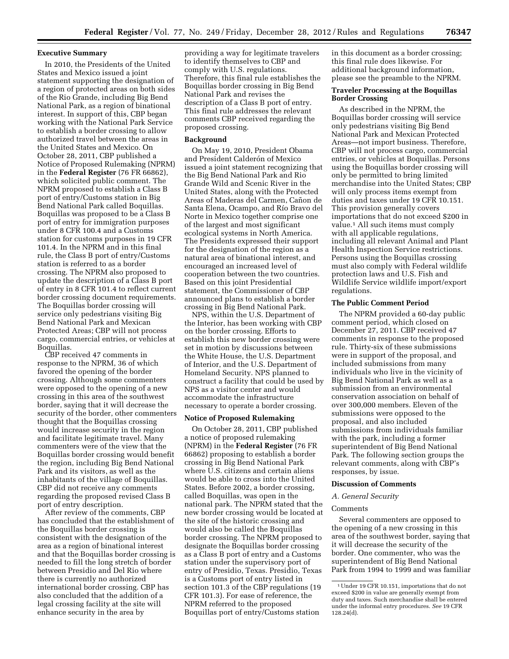# **Executive Summary**

In 2010, the Presidents of the United States and Mexico issued a joint statement supporting the designation of a region of protected areas on both sides of the Rio Grande, including Big Bend National Park, as a region of binational interest. In support of this, CBP began working with the National Park Service to establish a border crossing to allow authorized travel between the areas in the United States and Mexico. On October 28, 2011, CBP published a Notice of Proposed Rulemaking (NPRM) in the **Federal Register** (76 FR 66862), which solicited public comment. The NPRM proposed to establish a Class B port of entry/Customs station in Big Bend National Park called Boquillas. Boquillas was proposed to be a Class B port of entry for immigration purposes under 8 CFR 100.4 and a Customs station for customs purposes in 19 CFR 101.4. In the NPRM and in this final rule, the Class B port of entry/Customs station is referred to as a border crossing. The NPRM also proposed to update the description of a Class B port of entry in 8 CFR 101.4 to reflect current border crossing document requirements. The Boquillas border crossing will service only pedestrians visiting Big Bend National Park and Mexican Protected Areas; CBP will not process cargo, commercial entries, or vehicles at Boquillas.

CBP received 47 comments in response to the NPRM, 36 of which favored the opening of the border crossing. Although some commenters were opposed to the opening of a new crossing in this area of the southwest border, saying that it will decrease the security of the border, other commenters thought that the Boquillas crossing would increase security in the region and facilitate legitimate travel. Many commenters were of the view that the Boquillas border crossing would benefit the region, including Big Bend National Park and its visitors, as well as the inhabitants of the village of Boquillas. CBP did not receive any comments regarding the proposed revised Class B port of entry description.

After review of the comments, CBP has concluded that the establishment of the Boquillas border crossing is consistent with the designation of the area as a region of binational interest and that the Boquillas border crossing is needed to fill the long stretch of border between Presidio and Del Rio where there is currently no authorized international border crossing. CBP has also concluded that the addition of a legal crossing facility at the site will enhance security in the area by

providing a way for legitimate travelers to identify themselves to CBP and comply with U.S. regulations. Therefore, this final rule establishes the Boquillas border crossing in Big Bend National Park and revises the description of a Class B port of entry. This final rule addresses the relevant comments CBP received regarding the proposed crossing.

#### **Background**

On May 19, 2010, President Obama and President Calderón of Mexico issued a joint statement recognizing that the Big Bend National Park and Rio Grande Wild and Scenic River in the United States, along with the Protected Areas of Maderas del Carmen, Cañon de Santa Elena, Ocampo, and Río Bravo del Norte in Mexico together comprise one of the largest and most significant ecological systems in North America. The Presidents expressed their support for the designation of the region as a natural area of binational interest, and encouraged an increased level of cooperation between the two countries. Based on this joint Presidential statement, the Commissioner of CBP announced plans to establish a border crossing in Big Bend National Park.

NPS, within the U.S. Department of the Interior, has been working with CBP on the border crossing. Efforts to establish this new border crossing were set in motion by discussions between the White House, the U.S. Department of Interior, and the U.S. Department of Homeland Security. NPS planned to construct a facility that could be used by NPS as a visitor center and would accommodate the infrastructure necessary to operate a border crossing.

#### **Notice of Proposed Rulemaking**

On October 28, 2011, CBP published a notice of proposed rulemaking (NPRM) in the **Federal Register** (76 FR 66862) proposing to establish a border crossing in Big Bend National Park where U.S. citizens and certain aliens would be able to cross into the United States. Before 2002, a border crossing, called Boquillas, was open in the national park. The NPRM stated that the new border crossing would be located at the site of the historic crossing and would also be called the Boquillas border crossing. The NPRM proposed to designate the Boquillas border crossing as a Class B port of entry and a Customs station under the supervisory port of entry of Presidio, Texas. Presidio, Texas is a Customs port of entry listed in section 101.3 of the CBP regulations (19 CFR 101.3). For ease of reference, the NPRM referred to the proposed Boquillas port of entry/Customs station

in this document as a border crossing; this final rule does likewise. For additional background information, please see the preamble to the NPRM.

## **Traveler Processing at the Boquillas Border Crossing**

As described in the NPRM, the Boquillas border crossing will service only pedestrians visiting Big Bend National Park and Mexican Protected Areas—not import business. Therefore, CBP will not process cargo, commercial entries, or vehicles at Boquillas. Persons using the Boquillas border crossing will only be permitted to bring limited merchandise into the United States; CBP will only process items exempt from duties and taxes under 19 CFR 10.151. This provision generally covers importations that do not exceed \$200 in value.1 All such items must comply with all applicable regulations, including all relevant Animal and Plant Health Inspection Service restrictions. Persons using the Boquillas crossing must also comply with Federal wildlife protection laws and U.S. Fish and Wildlife Service wildlife import/export regulations.

## **The Public Comment Period**

The NPRM provided a 60-day public comment period, which closed on December 27, 2011. CBP received 47 comments in response to the proposed rule. Thirty-six of these submissions were in support of the proposal, and included submissions from many individuals who live in the vicinity of Big Bend National Park as well as a submission from an environmental conservation association on behalf of over 300,000 members. Eleven of the submissions were opposed to the proposal, and also included submissions from individuals familiar with the park, including a former superintendent of Big Bend National Park. The following section groups the relevant comments, along with CBP's responses, by issue.

## **Discussion of Comments**

#### *A. General Security*

#### Comments

Several commenters are opposed to the opening of a new crossing in this area of the southwest border, saying that it will decrease the security of the border. One commenter, who was the superintendent of Big Bend National Park from 1994 to 1999 and was familiar

<sup>1</sup>Under 19 CFR 10.151, importations that do not exceed \$200 in value are generally exempt from duty and taxes. Such merchandise shall be entered under the informal entry procedures. *See* 19 CFR 128.24(d).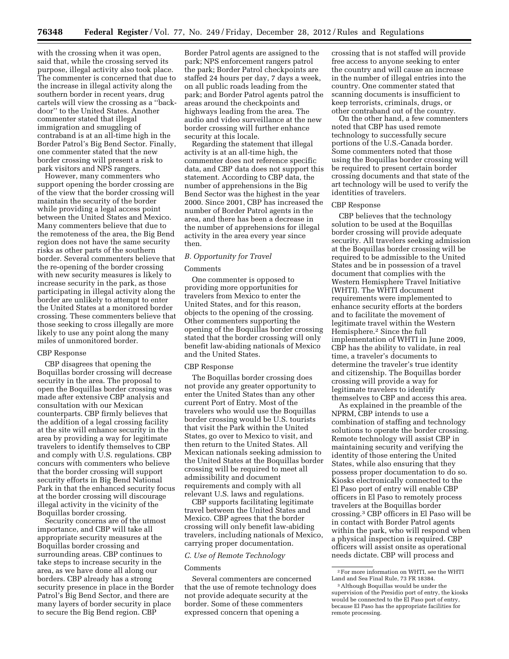with the crossing when it was open, said that, while the crossing served its purpose, illegal activity also took place. The commenter is concerned that due to the increase in illegal activity along the southern border in recent years, drug cartels will view the crossing as a ''backdoor'' to the United States. Another commenter stated that illegal immigration and smuggling of contraband is at an all-time high in the Border Patrol's Big Bend Sector. Finally, one commenter stated that the new border crossing will present a risk to park visitors and NPS rangers.

However, many commenters who support opening the border crossing are of the view that the border crossing will maintain the security of the border while providing a legal access point between the United States and Mexico. Many commenters believe that due to the remoteness of the area, the Big Bend region does not have the same security risks as other parts of the southern border. Several commenters believe that the re-opening of the border crossing with new security measures is likely to increase security in the park, as those participating in illegal activity along the border are unlikely to attempt to enter the United States at a monitored border crossing. These commenters believe that those seeking to cross illegally are more likely to use any point along the many miles of unmonitored border.

#### CBP Response

CBP disagrees that opening the Boquillas border crossing will decrease security in the area. The proposal to open the Boquillas border crossing was made after extensive CBP analysis and consultation with our Mexican counterparts. CBP firmly believes that the addition of a legal crossing facility at the site will enhance security in the area by providing a way for legitimate travelers to identify themselves to CBP and comply with U.S. regulations. CBP concurs with commenters who believe that the border crossing will support security efforts in Big Bend National Park in that the enhanced security focus at the border crossing will discourage illegal activity in the vicinity of the Boquillas border crossing.

Security concerns are of the utmost importance, and CBP will take all appropriate security measures at the Boquillas border crossing and surrounding areas. CBP continues to take steps to increase security in the area, as we have done all along our borders. CBP already has a strong security presence in place in the Border Patrol's Big Bend Sector, and there are many layers of border security in place to secure the Big Bend region. CBP

Border Patrol agents are assigned to the park; NPS enforcement rangers patrol the park; Border Patrol checkpoints are staffed 24 hours per day, 7 days a week, on all public roads leading from the park; and Border Patrol agents patrol the areas around the checkpoints and highways leading from the area. The audio and video surveillance at the new border crossing will further enhance security at this locale.

Regarding the statement that illegal activity is at an all-time high, the commenter does not reference specific data, and CBP data does not support this statement. According to CBP data, the number of apprehensions in the Big Bend Sector was the highest in the year 2000. Since 2001, CBP has increased the number of Border Patrol agents in the area, and there has been a decrease in the number of apprehensions for illegal activity in the area every year since then.

## *B. Opportunity for Travel*

## **Comments**

One commenter is opposed to providing more opportunities for travelers from Mexico to enter the United States, and for this reason, objects to the opening of the crossing. Other commenters supporting the opening of the Boquillas border crossing stated that the border crossing will only benefit law-abiding nationals of Mexico and the United States.

## CBP Response

The Boquillas border crossing does not provide any greater opportunity to enter the United States than any other current Port of Entry. Most of the travelers who would use the Boquillas border crossing would be U.S. tourists that visit the Park within the United States, go over to Mexico to visit, and then return to the United States. All Mexican nationals seeking admission to the United States at the Boquillas border crossing will be required to meet all admissibility and document requirements and comply with all relevant U.S. laws and regulations.

CBP supports facilitating legitimate travel between the United States and Mexico. CBP agrees that the border crossing will only benefit law-abiding travelers, including nationals of Mexico, carrying proper documentation.

# *C. Use of Remote Technology*

### Comments

Several commenters are concerned that the use of remote technology does not provide adequate security at the border. Some of these commenters expressed concern that opening a

crossing that is not staffed will provide free access to anyone seeking to enter the country and will cause an increase in the number of illegal entries into the country. One commenter stated that scanning documents is insufficient to keep terrorists, criminals, drugs, or other contraband out of the country.

On the other hand, a few commenters noted that CBP has used remote technology to successfully secure portions of the U.S.-Canada border. Some commenters noted that those using the Boquillas border crossing will be required to present certain border crossing documents and that state of the art technology will be used to verify the identities of travelers.

## CBP Response

CBP believes that the technology solution to be used at the Boquillas border crossing will provide adequate security. All travelers seeking admission at the Boquillas border crossing will be required to be admissible to the United States and be in possession of a travel document that complies with the Western Hemisphere Travel Initiative (WHTI). The WHTI document requirements were implemented to enhance security efforts at the borders and to facilitate the movement of legitimate travel within the Western Hemisphere.2 Since the full implementation of WHTI in June 2009, CBP has the ability to validate, in real time, a traveler's documents to determine the traveler's true identity and citizenship. The Boquillas border crossing will provide a way for legitimate travelers to identify themselves to CBP and access this area.

As explained in the preamble of the NPRM, CBP intends to use a combination of staffing and technology solutions to operate the border crossing. Remote technology will assist CBP in maintaining security and verifying the identity of those entering the United States, while also ensuring that they possess proper documentation to do so. Kiosks electronically connected to the El Paso port of entry will enable CBP officers in El Paso to remotely process travelers at the Boquillas border crossing.3 CBP officers in El Paso will be in contact with Border Patrol agents within the park, who will respond when a physical inspection is required. CBP officers will assist onsite as operational needs dictate. CBP will process and

<sup>2</sup>For more information on WHTI, see the WHTI Land and Sea Final Rule, 73 FR 18384.

<sup>3</sup>Although Boquillas would be under the supervision of the Presidio port of entry, the kiosks would be connected to the El Paso port of entry, because El Paso has the appropriate facilities for remote processing.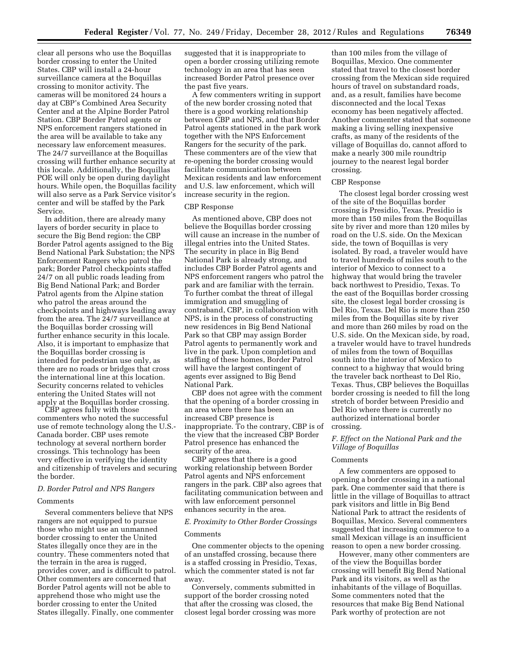clear all persons who use the Boquillas border crossing to enter the United States. CBP will install a 24-hour surveillance camera at the Boquillas crossing to monitor activity. The cameras will be monitored 24 hours a day at CBP's Combined Area Security Center and at the Alpine Border Patrol Station. CBP Border Patrol agents or NPS enforcement rangers stationed in the area will be available to take any necessary law enforcement measures. The 24/7 surveillance at the Boquillas crossing will further enhance security at this locale. Additionally, the Boquillas POE will only be open during daylight hours. While open, the Boquillas facility will also serve as a Park Service visitor's center and will be staffed by the Park Service.

In addition, there are already many layers of border security in place to secure the Big Bend region: the CBP Border Patrol agents assigned to the Big Bend National Park Substation; the NPS Enforcement Rangers who patrol the park; Border Patrol checkpoints staffed 24/7 on all public roads leading from Big Bend National Park; and Border Patrol agents from the Alpine station who patrol the areas around the checkpoints and highways leading away from the area. The 24/7 surveillance at the Boquillas border crossing will further enhance security in this locale. Also, it is important to emphasize that the Boquillas border crossing is intended for pedestrian use only, as there are no roads or bridges that cross the international line at this location. Security concerns related to vehicles entering the United States will not apply at the Boquillas border crossing.

CBP agrees fully with those commenters who noted the successful use of remote technology along the U.S.- Canada border. CBP uses remote technology at several northern border crossings. This technology has been very effective in verifying the identity and citizenship of travelers and securing the border.

## *D. Border Patrol and NPS Rangers*

## Comments

Several commenters believe that NPS rangers are not equipped to pursue those who might use an unmanned border crossing to enter the United States illegally once they are in the country. These commenters noted that the terrain in the area is rugged, provides cover, and is difficult to patrol. Other commenters are concerned that Border Patrol agents will not be able to apprehend those who might use the border crossing to enter the United States illegally. Finally, one commenter

suggested that it is inappropriate to open a border crossing utilizing remote technology in an area that has seen increased Border Patrol presence over the past five years.

A few commenters writing in support of the new border crossing noted that there is a good working relationship between CBP and NPS, and that Border Patrol agents stationed in the park work together with the NPS Enforcement Rangers for the security of the park. These commenters are of the view that re-opening the border crossing would facilitate communication between Mexican residents and law enforcement and U.S. law enforcement, which will increase security in the region.

#### CBP Response

As mentioned above, CBP does not believe the Boquillas border crossing will cause an increase in the number of illegal entries into the United States. The security in place in Big Bend National Park is already strong, and includes CBP Border Patrol agents and NPS enforcement rangers who patrol the park and are familiar with the terrain. To further combat the threat of illegal immigration and smuggling of contraband, CBP, in collaboration with NPS, is in the process of constructing new residences in Big Bend National Park so that CBP may assign Border Patrol agents to permanently work and live in the park. Upon completion and staffing of these homes, Border Patrol will have the largest contingent of agents ever assigned to Big Bend National Park.

CBP does not agree with the comment that the opening of a border crossing in an area where there has been an increased CBP presence is inappropriate. To the contrary, CBP is of the view that the increased CBP Border Patrol presence has enhanced the security of the area.

CBP agrees that there is a good working relationship between Border Patrol agents and NPS enforcement rangers in the park. CBP also agrees that facilitating communication between and with law enforcement personnel enhances security in the area.

## *E. Proximity to Other Border Crossings*

## **Comments**

One commenter objects to the opening of an unstaffed crossing, because there is a staffed crossing in Presidio, Texas, which the commenter stated is not far away.

Conversely, comments submitted in support of the border crossing noted that after the crossing was closed, the closest legal border crossing was more

than 100 miles from the village of Boquillas, Mexico. One commenter stated that travel to the closest border crossing from the Mexican side required hours of travel on substandard roads, and, as a result, families have become disconnected and the local Texas economy has been negatively affected. Another commenter stated that someone making a living selling inexpensive crafts, as many of the residents of the village of Boquillas do, cannot afford to make a nearly 300 mile roundtrip journey to the nearest legal border crossing.

# CBP Response

The closest legal border crossing west of the site of the Boquillas border crossing is Presidio, Texas. Presidio is more than 150 miles from the Boquillas site by river and more than 120 miles by road on the U.S. side. On the Mexican side, the town of Boquillas is very isolated. By road, a traveler would have to travel hundreds of miles south to the interior of Mexico to connect to a highway that would bring the traveler back northwest to Presidio, Texas. To the east of the Boquillas border crossing site, the closest legal border crossing is Del Rio, Texas. Del Rio is more than 250 miles from the Boquillas site by river and more than 260 miles by road on the U.S. side. On the Mexican side, by road, a traveler would have to travel hundreds of miles from the town of Boquillas south into the interior of Mexico to connect to a highway that would bring the traveler back northeast to Del Rio, Texas. Thus, CBP believes the Boquillas border crossing is needed to fill the long stretch of border between Presidio and Del Rio where there is currently no authorized international border crossing.

# *F. Effect on the National Park and the Village of Boquillas*

#### **Comments**

A few commenters are opposed to opening a border crossing in a national park. One commenter said that there is little in the village of Boquillas to attract park visitors and little in Big Bend National Park to attract the residents of Boquillas, Mexico. Several commenters suggested that increasing commerce to a small Mexican village is an insufficient reason to open a new border crossing.

However, many other commenters are of the view the Boquillas border crossing will benefit Big Bend National Park and its visitors, as well as the inhabitants of the village of Boquillas. Some commenters noted that the resources that make Big Bend National Park worthy of protection are not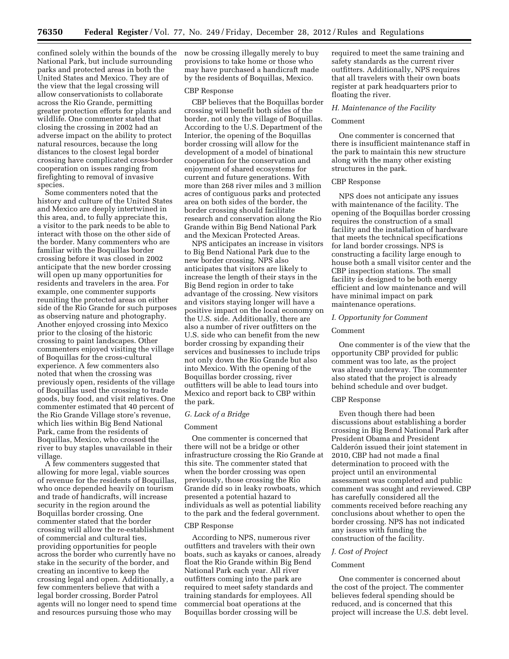confined solely within the bounds of the National Park, but include surrounding parks and protected areas in both the United States and Mexico. They are of the view that the legal crossing will allow conservationists to collaborate across the Rio Grande, permitting greater protection efforts for plants and wildlife. One commenter stated that closing the crossing in 2002 had an adverse impact on the ability to protect natural resources, because the long distances to the closest legal border crossing have complicated cross-border cooperation on issues ranging from firefighting to removal of invasive species.

Some commenters noted that the history and culture of the United States and Mexico are deeply intertwined in this area, and, to fully appreciate this, a visitor to the park needs to be able to interact with those on the other side of the border. Many commenters who are familiar with the Boquillas border crossing before it was closed in 2002 anticipate that the new border crossing will open up many opportunities for residents and travelers in the area. For example, one commenter supports reuniting the protected areas on either side of the Rio Grande for such purposes as observing nature and photography. Another enjoyed crossing into Mexico prior to the closing of the historic crossing to paint landscapes. Other commenters enjoyed visiting the village of Boquillas for the cross-cultural experience. A few commenters also noted that when the crossing was previously open, residents of the village of Boquillas used the crossing to trade goods, buy food, and visit relatives. One commenter estimated that 40 percent of the Rio Grande Village store's revenue, which lies within Big Bend National Park, came from the residents of Boquillas, Mexico, who crossed the river to buy staples unavailable in their village.

A few commenters suggested that allowing for more legal, viable sources of revenue for the residents of Boquillas, who once depended heavily on tourism and trade of handicrafts, will increase security in the region around the Boquillas border crossing. One commenter stated that the border crossing will allow the re-establishment of commercial and cultural ties, providing opportunities for people across the border who currently have no stake in the security of the border, and creating an incentive to keep the crossing legal and open. Additionally, a few commenters believe that with a legal border crossing, Border Patrol agents will no longer need to spend time and resources pursuing those who may

now be crossing illegally merely to buy provisions to take home or those who may have purchased a handicraft made by the residents of Boquillas, Mexico.

## CBP Response

CBP believes that the Boquillas border crossing will benefit both sides of the border, not only the village of Boquillas. According to the U.S. Department of the Interior, the opening of the Boquillas border crossing will allow for the development of a model of binational cooperation for the conservation and enjoyment of shared ecosystems for current and future generations. With more than 268 river miles and 3 million acres of contiguous parks and protected area on both sides of the border, the border crossing should facilitate research and conservation along the Rio Grande within Big Bend National Park and the Mexican Protected Areas.

NPS anticipates an increase in visitors to Big Bend National Park due to the new border crossing. NPS also anticipates that visitors are likely to increase the length of their stays in the Big Bend region in order to take advantage of the crossing. New visitors and visitors staying longer will have a positive impact on the local economy on the U.S. side. Additionally, there are also a number of river outfitters on the U.S. side who can benefit from the new border crossing by expanding their services and businesses to include trips not only down the Rio Grande but also into Mexico. With the opening of the Boquillas border crossing, river outfitters will be able to lead tours into Mexico and report back to CBP within the park.

## *G. Lack of a Bridge*

#### Comment

One commenter is concerned that there will not be a bridge or other infrastructure crossing the Rio Grande at this site. The commenter stated that when the border crossing was open previously, those crossing the Rio Grande did so in leaky rowboats, which presented a potential hazard to individuals as well as potential liability to the park and the federal government.

#### CBP Response

According to NPS, numerous river outfitters and travelers with their own boats, such as kayaks or canoes, already float the Rio Grande within Big Bend National Park each year. All river outfitters coming into the park are required to meet safety standards and training standards for employees. All commercial boat operations at the Boquillas border crossing will be

required to meet the same training and safety standards as the current river outfitters. Additionally, NPS requires that all travelers with their own boats register at park headquarters prior to floating the river.

## *H. Maintenance of the Facility*

## Comment

One commenter is concerned that there is insufficient maintenance staff in the park to maintain this new structure along with the many other existing structures in the park.

## CBP Response

NPS does not anticipate any issues with maintenance of the facility. The opening of the Boquillas border crossing requires the construction of a small facility and the installation of hardware that meets the technical specifications for land border crossings. NPS is constructing a facility large enough to house both a small visitor center and the CBP inspection stations. The small facility is designed to be both energy efficient and low maintenance and will have minimal impact on park maintenance operations.

#### *I. Opportunity for Comment*

# Comment

One commenter is of the view that the opportunity CBP provided for public comment was too late, as the project was already underway. The commenter also stated that the project is already behind schedule and over budget.

## CBP Response

Even though there had been discussions about establishing a border crossing in Big Bend National Park after President Obama and President Calderón issued their joint statement in 2010, CBP had not made a final determination to proceed with the project until an environmental assessment was completed and public comment was sought and reviewed. CBP has carefully considered all the comments received before reaching any conclusions about whether to open the border crossing. NPS has not indicated any issues with funding the construction of the facility.

### *J. Cost of Project*

## Comment

One commenter is concerned about the cost of the project. The commenter believes federal spending should be reduced, and is concerned that this project will increase the U.S. debt level.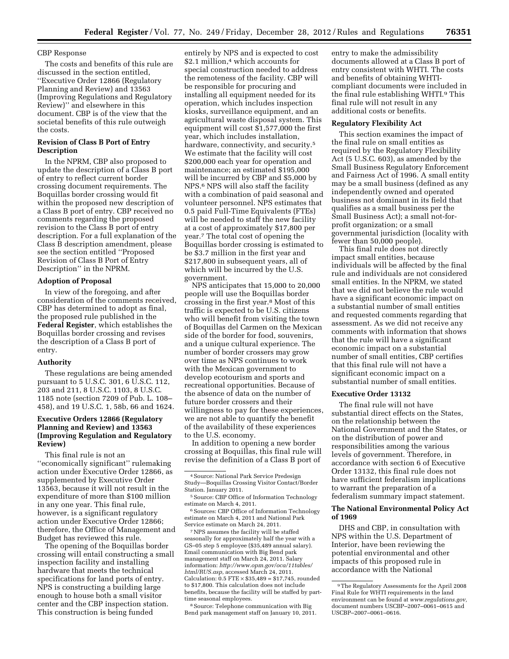## CBP Response

The costs and benefits of this rule are discussed in the section entitled, ''Executive Order 12866 (Regulatory Planning and Review) and 13563 (Improving Regulations and Regulatory Review)'' and elsewhere in this document. CBP is of the view that the societal benefits of this rule outweigh the costs.

# **Revision of Class B Port of Entry Description**

In the NPRM, CBP also proposed to update the description of a Class B port of entry to reflect current border crossing document requirements. The Boquillas border crossing would fit within the proposed new description of a Class B port of entry. CBP received no comments regarding the proposed revision to the Class B port of entry description. For a full explanation of the Class B description amendment, please see the section entitled ''Proposed Revision of Class B Port of Entry Description'' in the NPRM.

# **Adoption of Proposal**

In view of the foregoing, and after consideration of the comments received, CBP has determined to adopt as final, the proposed rule published in the **Federal Register**, which establishes the Boquillas border crossing and revises the description of a Class B port of entry.

### **Authority**

These regulations are being amended pursuant to 5 U.S.C. 301, 6 U.S.C. 112, 203 and 211, 8 U.S.C. 1103, 8 U.S.C. 1185 note (section 7209 of Pub. L. 108– 458), and 19 U.S.C. 1, 58b, 66 and 1624.

# **Executive Orders 12866 (Regulatory Planning and Review) and 13563 (Improving Regulation and Regulatory Review)**

This final rule is not an ''economically significant'' rulemaking action under Executive Order 12866, as supplemented by Executive Order 13563, because it will not result in the expenditure of more than \$100 million in any one year. This final rule, however, is a significant regulatory action under Executive Order 12866; therefore, the Office of Management and Budget has reviewed this rule.

The opening of the Boquillas border crossing will entail constructing a small inspection facility and installing hardware that meets the technical specifications for land ports of entry. NPS is constructing a building large enough to house both a small visitor center and the CBP inspection station. This construction is being funded

entirely by NPS and is expected to cost \$2.1 million,<sup>4</sup> which accounts for special construction needed to address the remoteness of the facility. CBP will be responsible for procuring and installing all equipment needed for its operation, which includes inspection kiosks, surveillance equipment, and an agricultural waste disposal system. This equipment will cost \$1,577,000 the first year, which includes installation, hardware, connectivity, and security.<sup>5</sup> We estimate that the facility will cost \$200,000 each year for operation and maintenance; an estimated \$195,000 will be incurred by CBP and \$5,000 by NPS.6 NPS will also staff the facility with a combination of paid seasonal and volunteer personnel. NPS estimates that 0.5 paid Full-Time Equivalents (FTEs) will be needed to staff the new facility at a cost of approximately \$17,800 per year.7 The total cost of opening the Boquillas border crossing is estimated to be \$3.7 million in the first year and \$217,800 in subsequent years, all of which will be incurred by the U.S. government.

NPS anticipates that 15,000 to 20,000 people will use the Boquillas border crossing in the first year.8 Most of this traffic is expected to be U.S. citizens who will benefit from visiting the town of Boquillas del Carmen on the Mexican side of the border for food, souvenirs, and a unique cultural experience. The number of border crossers may grow over time as NPS continues to work with the Mexican government to develop ecotourism and sports and recreational opportunities. Because of the absence of data on the number of future border crossers and their willingness to pay for these experiences, we are not able to quantify the benefit of the availability of these experiences to the U.S. economy.

In addition to opening a new border crossing at Boquillas, this final rule will revise the definition of a Class B port of

<sup>6</sup> Sources: CBP Office of Information Technology estimate on March 4, 2011 and National Park Service estimate on March 24, 2011.

7NPS assumes the facility will be staffed seasonally for approximately half the year with a GS–05 step 5 employee (\$35,489 annual salary). Email communication with Big Bend park management staff on March 24, 2011. Salary information: *http://www.opm.gov/oca/11tables/ html/RUS.asp,* accessed March 24, 2011. Calculation:  $0.5$  FTE  $\times$  \$35,489 = \$17,745, rounded to \$17,800. This calculation does not include benefits, because the facility will be staffed by parttime seasonal employees.

8Source: Telephone communication with Big Bend park management staff on January 10, 2011.

entry to make the admissibility documents allowed at a Class B port of entry consistent with WHTI. The costs and benefits of obtaining WHTIcompliant documents were included in the final rule establishing WHTI.<sup>9</sup> This final rule will not result in any additional costs or benefits.

# **Regulatory Flexibility Act**

This section examines the impact of the final rule on small entities as required by the Regulatory Flexibility Act (5 U.S.C. 603), as amended by the Small Business Regulatory Enforcement and Fairness Act of 1996. A small entity may be a small business (defined as any independently owned and operated business not dominant in its field that qualifies as a small business per the Small Business Act); a small not-forprofit organization; or a small governmental jurisdiction (locality with fewer than 50,000 people).

This final rule does not directly impact small entities, because individuals will be affected by the final rule and individuals are not considered small entities. In the NPRM, we stated that we did not believe the rule would have a significant economic impact on a substantial number of small entities and requested comments regarding that assessment. As we did not receive any comments with information that shows that the rule will have a significant economic impact on a substantial number of small entities, CBP certifies that this final rule will not have a significant economic impact on a substantial number of small entities.

# **Executive Order 13132**

The final rule will not have substantial direct effects on the States, on the relationship between the National Government and the States, or on the distribution of power and responsibilities among the various levels of government. Therefore, in accordance with section 6 of Executive Order 13132, this final rule does not have sufficient federalism implications to warrant the preparation of a federalism summary impact statement.

### **The National Environmental Policy Act of 1969**

DHS and CBP, in consultation with NPS within the U.S. Department of Interior, have been reviewing the potential environmental and other impacts of this proposed rule in accordance with the National

<sup>4</sup>Source: National Park Service Predesign Study—Boquillas Crossing Visitor Contact/Border Station. January 2011.

<sup>&</sup>lt;sup>5</sup> Source: CBP Office of Information Technology estimate on March 4, 2011.

<sup>9</sup>The Regulatory Assessments for the April 2008 Final Rule for WHTI requirements in the land environment can be found at *www.regulations.gov,*  document numbers USCBP–2007–0061–0615 and USCBP–2007–0061–0616.